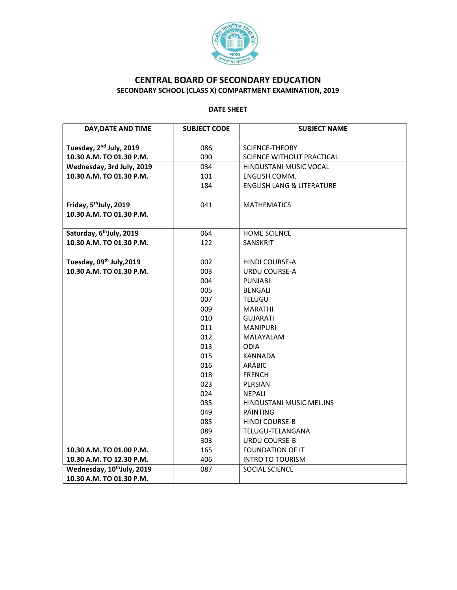

## CENTRAL BOARD OF SECONDARY EDUCATION SECONDARY SCHOOL (CLASS X) COMPARTMENT EXAMINATION, 2019

## DATE SHEET

| DAY, DATE AND TIME                     | <b>SUBJECT CODE</b> | <b>SUBJECT NAME</b>                  |
|----------------------------------------|---------------------|--------------------------------------|
|                                        |                     |                                      |
| Tuesday, 2 <sup>nd</sup> July, 2019    | 086                 | <b>SCIENCE-THEORY</b>                |
| 10.30 A.M. TO 01.30 P.M.               | 090                 | SCIENCE WITHOUT PRACTICAL            |
| Wednesday, 3rd July, 2019              | 034                 | HINDUSTANI MUSIC VOCAL               |
| 10.30 A.M. TO 01.30 P.M.               | 101                 | ENGLISH COMM.                        |
|                                        | 184                 | <b>ENGLISH LANG &amp; LITERATURE</b> |
|                                        |                     |                                      |
| Friday, 5 <sup>th</sup> July, 2019     | 041                 | <b>MATHEMATICS</b>                   |
| 10.30 A.M. TO 01.30 P.M.               |                     |                                      |
|                                        |                     |                                      |
| Saturday, 6 <sup>th</sup> July, 2019   | 064                 | <b>HOME SCIENCE</b>                  |
| 10.30 A.M. TO 01.30 P.M.               | 122                 | <b>SANSKRIT</b>                      |
|                                        |                     |                                      |
| Tuesday, 09th July, 2019               | 002                 | <b>HINDI COURSE-A</b>                |
| 10.30 A.M. TO 01.30 P.M.               | 003                 | URDU COURSE-A                        |
|                                        | 004                 | <b>PUNJABI</b>                       |
|                                        | 005                 | <b>BENGALI</b>                       |
|                                        | 007                 | <b>TELUGU</b>                        |
|                                        | 009                 | <b>MARATHI</b>                       |
|                                        | 010                 | <b>GUJARATI</b>                      |
|                                        | 011                 | <b>MANIPURI</b>                      |
|                                        | 012                 | <b>MALAYALAM</b><br><b>ODIA</b>      |
|                                        | 013<br>015          | KANNADA                              |
|                                        | 016                 | <b>ARABIC</b>                        |
|                                        | 018                 | <b>FRENCH</b>                        |
|                                        | 023                 | PERSIAN                              |
|                                        | 024                 | <b>NEPALI</b>                        |
|                                        | 035                 | HINDUSTANI MUSIC MEL.INS             |
|                                        | 049                 | <b>PAINTING</b>                      |
|                                        | 085                 | <b>HINDI COURSE-B</b>                |
|                                        | 089                 | TELUGU-TELANGANA                     |
|                                        | 303                 | <b>URDU COURSE-B</b>                 |
| 10.30 A.M. TO 01.00 P.M.               | 165                 | <b>FOUNDATION OF IT</b>              |
| 10.30 A.M. TO 12.30 P.M.               | 406                 | <b>INTRO TO TOURISM</b>              |
| Wednesday, 10 <sup>th</sup> July, 2019 | 087                 | SOCIAL SCIENCE                       |
| 10.30 A.M. TO 01.30 P.M.               |                     |                                      |